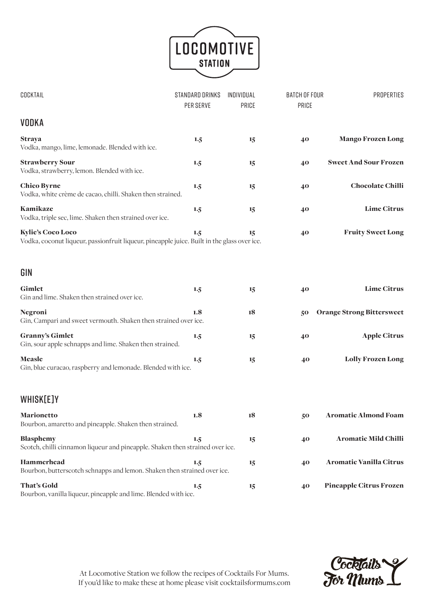

| COCKTAIL                                                                                                                | <b>STANDARD DRINKS</b><br>PER SERVE | INDIVIDUAL<br>PRICE | <b>BATCH OF FOUR</b><br>PRICE | PROPERTIES                       |
|-------------------------------------------------------------------------------------------------------------------------|-------------------------------------|---------------------|-------------------------------|----------------------------------|
| <b>VODKA</b>                                                                                                            |                                     |                     |                               |                                  |
| <b>Straya</b><br>Vodka, mango, lime, lemonade. Blended with ice.                                                        | 1.5                                 | 15                  | 40                            | <b>Mango Frozen Long</b>         |
| <b>Strawberry Sour</b><br>Vodka, strawberry, lemon. Blended with ice.                                                   | 1.5                                 | 15                  | 40                            | <b>Sweet And Sour Frozen</b>     |
| <b>Chico Byrne</b><br>Vodka, white crème de cacao, chilli. Shaken then strained.                                        | 1.5                                 | 15                  | 40                            | <b>Chocolate Chilli</b>          |
| Kamikaze<br>Vodka, triple sec, lime. Shaken then strained over ice.                                                     | 1.5                                 | 15                  | 40                            | <b>Lime Citrus</b>               |
| <b>Kylie's Coco Loco</b><br>Vodka, coconut liqueur, passionfruit liqueur, pineapple juice. Built in the glass over ice. | 1.5                                 | 15                  | 40                            | <b>Fruity Sweet Long</b>         |
| GIN                                                                                                                     |                                     |                     |                               |                                  |
| Gimlet<br>Gin and lime. Shaken then strained over ice.                                                                  | 1.5                                 | 15                  | 40                            | <b>Lime Citrus</b>               |
| Negroni<br>Gin, Campari and sweet vermouth. Shaken then strained over ice.                                              | 1.8                                 | 18                  | 50                            | <b>Orange Strong Bittersweet</b> |
| <b>Granny's Gimlet</b><br>Gin, sour apple schnapps and lime. Shaken then strained.                                      | 1.5                                 | 15                  | 40                            | <b>Apple Citrus</b>              |
| <b>Measle</b><br>Gin, blue curacao, raspberry and lemonade. Blended with ice.                                           | 1.5                                 | 15                  | 40                            | <b>Lolly Frozen Long</b>         |
| <b>WHISK[E]Y</b>                                                                                                        |                                     |                     |                               |                                  |
| Marionetto<br>Bourbon, amaretto and pineapple. Shaken then strained.                                                    | 1.8                                 | 18                  | 50                            | <b>Aromatic Almond Foam</b>      |
| <b>Blasphemy</b><br>Scotch, chilli cinnamon liqueur and pineapple. Shaken then strained over ice.                       | 1.5                                 | 15                  | 40                            | <b>Aromatic Mild Chilli</b>      |
| Hammerhead<br>Bourbon, butterscotch schnapps and lemon. Shaken then strained over ice.                                  | 1.5                                 | 15                  | 40                            | <b>Aromatic Vanilla Citrus</b>   |
| <b>That's Gold</b><br>Bourbon, vanilla liqueur, pineapple and lime. Blended with ice.                                   | 1.5                                 | 15                  | 40                            | <b>Pineapple Citrus Frozen</b>   |



At Locomotive Station we follow the recipes of Cocktails For Mums. If you'd like to make these at home please visit cocktailsformums.com